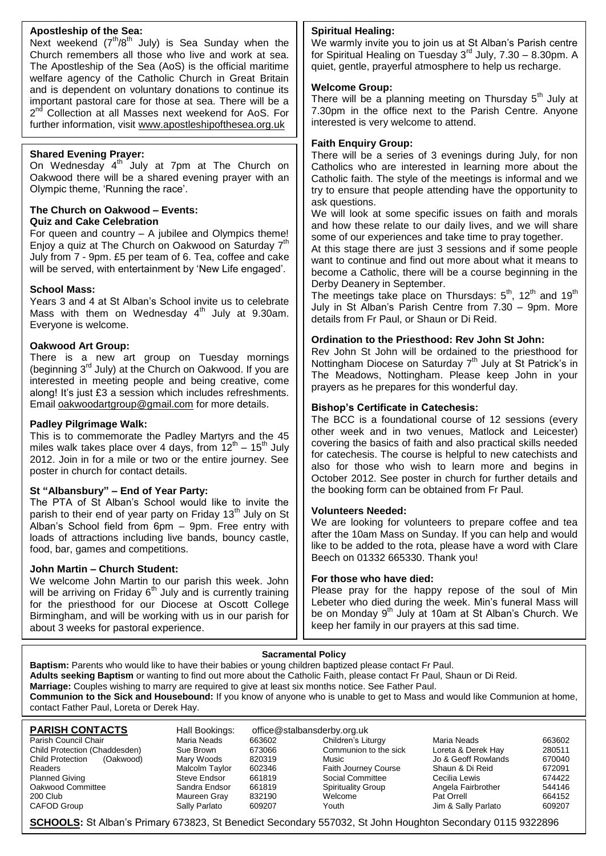#### **Apostleship of the Sea:**

Next weekend (7<sup>th</sup>/8<sup>th</sup> July) is Sea Sunday when the Church remembers all those who live and work at sea. The Apostleship of the Sea (AoS) is the official maritime welfare agency of the Catholic Church in Great Britain and is dependent on voluntary donations to continue its important pastoral care for those at sea. There will be a 2<sup>nd</sup> Collection at all Masses next weekend for AoS. For further information, visit [www.apostleshipofthesea.org.uk](http://www.apostleshipofthesea.org.uk/)

#### **Shared Evening Prayer:**

On Wednesday  $4^{\text{th}}$  July at 7pm at The Church on Oakwood there will be a shared evening prayer with an Olympic theme, 'Running the race'.

#### **The Church on Oakwood – Events: Quiz and Cake Celebration**

For queen and country – A jubilee and Olympics theme! Enjoy a quiz at The Church on Oakwood on Saturday 7<sup>th</sup> July from 7 - 9pm. £5 per team of 6. Tea, coffee and cake will be served, with entertainment by 'New Life engaged'.

#### **School Mass:**

Years 3 and 4 at St Alban's School invite us to celebrate Mass with them on Wednesday  $4<sup>th</sup>$  July at 9.30am. Everyone is welcome.

#### **Oakwood Art Group:**

There is a new art group on Tuesday mornings (beginning 3<sup>rd</sup> July) at the Church on Oakwood. If you are interested in meeting people and being creative, come along! It's just £3 a session which includes refreshments. Email [oakwoodartgroup@gmail.com](mailto:oakwoodartgroup@gmail.com) for more details.

#### **Padley Pilgrimage Walk:**

This is to commemorate the Padley Martyrs and the 45 miles walk takes place over 4 days, from  $12^{th}$  – 15<sup>th</sup> July 2012. Join in for a mile or two or the entire journey. See poster in church for contact details.

#### **St "Albansbury" – End of Year Party:**

The PTA of St Alban's School would like to invite the parish to their end of year party on Friday 13<sup>th</sup> July on St Alban's School field from 6pm – 9pm. Free entry with loads of attractions including live bands, bouncy castle, food, bar, games and competitions.

#### **John Martin – Church Student:**

We welcome John Martin to our parish this week. John will be arriving on Friday  $6<sup>th</sup>$  July and is currently training for the priesthood for our Diocese at Oscott College Birmingham, and will be working with us in our parish for about 3 weeks for pastoral experience.

#### **Spiritual Healing:**

We warmly invite you to join us at St Alban's Parish centre for Spiritual Healing on Tuesday 3rd July, 7.30 – 8.30pm. A quiet, gentle, prayerful atmosphere to help us recharge.

#### **Welcome Group:**

There will be a planning meeting on Thursday  $5<sup>th</sup>$  July at 7.30pm in the office next to the Parish Centre. Anyone interested is very welcome to attend.

#### **Faith Enquiry Group:**

There will be a series of 3 evenings during July, for non Catholics who are interested in learning more about the Catholic faith. The style of the meetings is informal and we try to ensure that people attending have the opportunity to ask questions.

We will look at some specific issues on faith and morals and how these relate to our daily lives, and we will share some of our experiences and take time to pray together.

At this stage there are just 3 sessions and if some people want to continue and find out more about what it means to become a Catholic, there will be a course beginning in the Derby Deanery in September.

The meetings take place on Thursdays:  $5<sup>th</sup>$ , 12<sup>th</sup> and 19<sup>th</sup> July in St Alban's Parish Centre from 7.30 – 9pm. More details from Fr Paul, or Shaun or Di Reid.

#### **Ordination to the Priesthood: Rev John St John:**

Rev John St John will be ordained to the priesthood for Nottingham Diocese on Saturday  $7<sup>th</sup>$  July at St Patrick's in The Meadows, Nottingham. Please keep John in your prayers as he prepares for this wonderful day.

#### **Bishop's Certificate in Catechesis:**

The BCC is a foundational course of 12 sessions (every other week and in two venues, Matlock and Leicester) covering the basics of faith and also practical skills needed for catechesis. The course is helpful to new catechists and also for those who wish to learn more and begins in October 2012. See poster in church for further details and the booking form can be obtained from Fr Paul.

#### **Volunteers Needed:**

We are looking for volunteers to prepare coffee and tea after the 10am Mass on Sunday. If you can help and would like to be added to the rota, please have a word with Clare Beech on 01332 665330. Thank you!

#### **For those who have died:**

Please pray for the happy repose of the soul of Min Lebeter who died during the week. Min's funeral Mass will be on Monday  $9<sup>th</sup>$  July at 10am at St Alban's Church. We keep her family in our prayers at this sad time.

#### **Sacramental Policy**

**Baptism:** Parents who would like to have their babies or young children baptized please contact Fr Paul. **Adults seeking Baptism** or wanting to find out more about the Catholic Faith, please contact Fr Paul, Shaun or Di Reid. **Marriage:** Couples wishing to marry are required to give at least six months notice. See Father Paul. **Communion to the Sick and Housebound:** If you know of anyone who is unable to get to Mass and would like Communion at home, contact Father Paul, Loreta or Derek Hay.

| <b>PARISH CONTACTS</b>        | Hall Bookings: | office@stalbansderby.org.uk |                             |                     |        |
|-------------------------------|----------------|-----------------------------|-----------------------------|---------------------|--------|
| Parish Council Chair          | Maria Neads    | 663602                      | Children's Liturgy          | Maria Neads         | 663602 |
| Child Protection (Chaddesden) | Sue Brown      | 673066                      | Communion to the sick       | Loreta & Derek Hay  | 280511 |
| Child Protection<br>(Oakwood) | Mary Woods     | 820319                      | Music                       | Jo & Geoff Rowlands | 670040 |
| Readers                       | Malcolm Taylor | 602346                      | <b>Faith Journey Course</b> | Shaun & Di Reid     | 672091 |
| <b>Planned Giving</b>         | Steve Endsor   | 661819                      | Social Committee            | Cecilia Lewis       | 674422 |
| Oakwood Committee             | Sandra Endsor  | 661819                      | <b>Spirituality Group</b>   | Angela Fairbrother  | 544146 |
| 200 Club                      | Maureen Gray   | 832190                      | Welcome                     | Pat Orrell          | 664152 |
| CAFOD Group                   | Sally Parlato  | 609207                      | Youth                       | Jim & Sally Parlato | 609207 |

**SCHOOLS:** St Alban's Primary 673823, St Benedict Secondary 557032, St John Houghton Secondary 0115 9322896